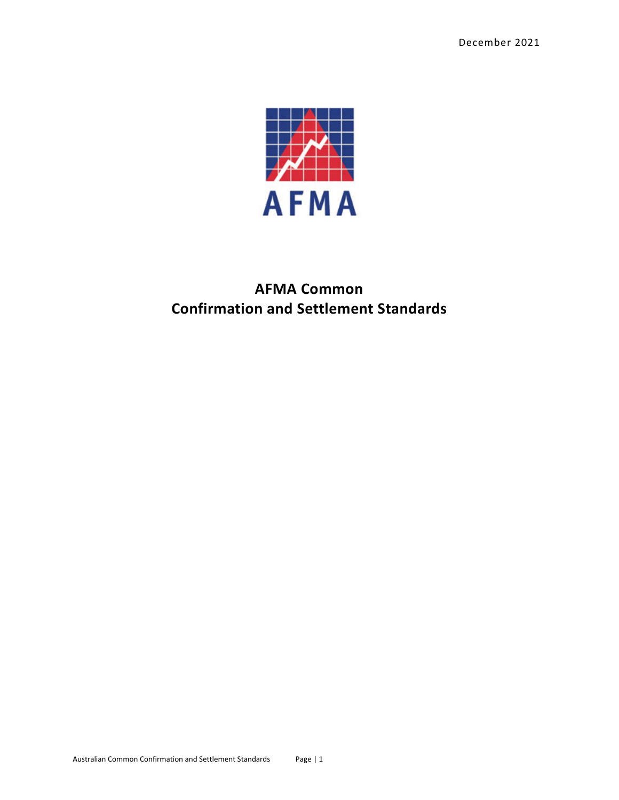

# **AFMA Common Confirmation and Settlement Standards**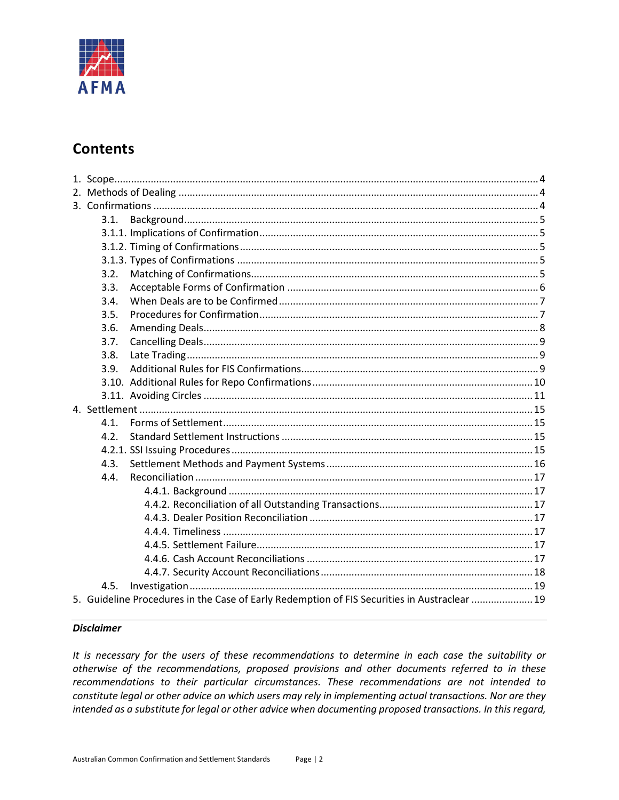

# **Contents**

| 3.1.                                                                                        |  |
|---------------------------------------------------------------------------------------------|--|
|                                                                                             |  |
|                                                                                             |  |
|                                                                                             |  |
| 3.2.                                                                                        |  |
| 3.3.                                                                                        |  |
| 3.4.                                                                                        |  |
| 3.5.                                                                                        |  |
| 3.6.                                                                                        |  |
| 3.7.                                                                                        |  |
| 3.8.                                                                                        |  |
| 3.9.                                                                                        |  |
|                                                                                             |  |
|                                                                                             |  |
|                                                                                             |  |
| 4.1.                                                                                        |  |
| 4.2.                                                                                        |  |
|                                                                                             |  |
| 4.3.                                                                                        |  |
| 4.4.                                                                                        |  |
|                                                                                             |  |
|                                                                                             |  |
|                                                                                             |  |
|                                                                                             |  |
|                                                                                             |  |
|                                                                                             |  |
|                                                                                             |  |
| 4.5.                                                                                        |  |
| 5. Guideline Procedures in the Case of Early Redemption of FIS Securities in Austraclear 19 |  |
|                                                                                             |  |

#### **Disclaimer**

It is necessary for the users of these recommendations to determine in each case the suitability or otherwise of the recommendations, proposed provisions and other documents referred to in these recommendations to their particular circumstances. These recommendations are not intended to constitute legal or other advice on which users may rely in implementing actual transactions. Nor are they intended as a substitute for legal or other advice when documenting proposed transactions. In this regard,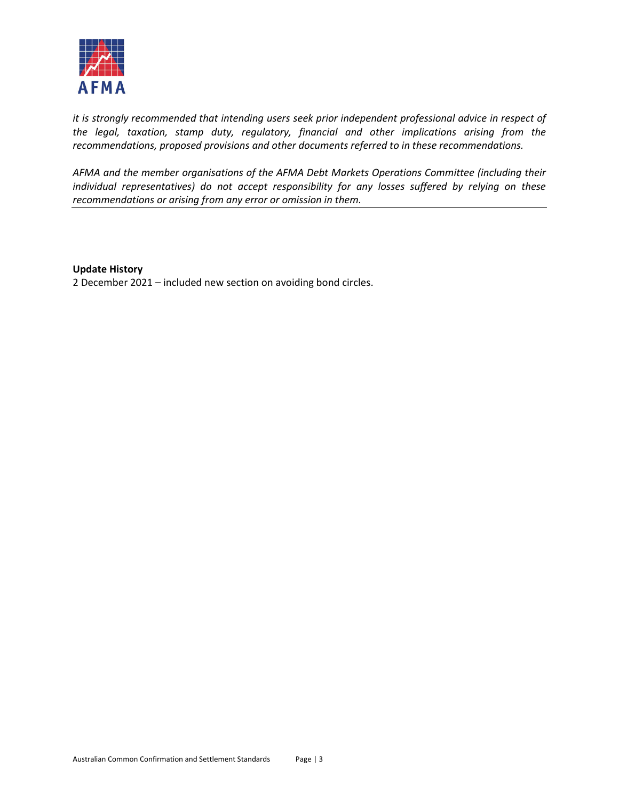

*it is strongly recommended that intending users seek prior independent professional advice in respect of the legal, taxation, stamp duty, regulatory, financial and other implications arising from the recommendations, proposed provisions and other documents referred to in these recommendations.*

*AFMA and the member organisations of the AFMA Debt Markets Operations Committee (including their individual representatives) do not accept responsibility for any losses suffered by relying on these recommendations or arising from any error or omission in them.*

**Update History**

2 December 2021 – included new section on avoiding bond circles.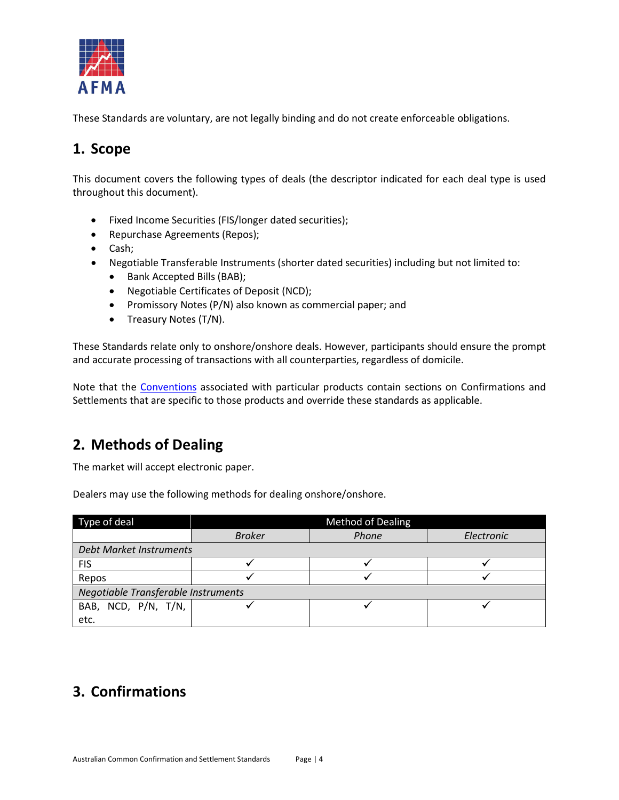

These Standards are voluntary, are not legally binding and do not create enforceable obligations.

# <span id="page-3-0"></span>**1. Scope**

This document covers the following types of deals (the descriptor indicated for each deal type is used throughout this document).

- Fixed Income Securities (FIS/longer dated securities);
- Repurchase Agreements (Repos);
- Cash;
- Negotiable Transferable Instruments (shorter dated securities) including but not limited to:
	- Bank Accepted Bills (BAB);
	- Negotiable Certificates of Deposit (NCD);
	- Promissory Notes (P/N) also known as commercial paper; and
	- Treasury Notes (T/N).

These Standards relate only to onshore/onshore deals. However, participants should ensure the prompt and accurate processing of transactions with all counterparties, regardless of domicile.

Note that the [Conventions](https://afma.com.au/standards/market-conventions) associated with particular products contain sections on Confirmations and Settlements that are specific to those products and override these standards as applicable.

# <span id="page-3-1"></span>**2. Methods of Dealing**

The market will accept electronic paper.

Dealers may use the following methods for dealing onshore/onshore.

| Type of deal                        | <b>Method of Dealing</b> |       |            |  |  |  |  |
|-------------------------------------|--------------------------|-------|------------|--|--|--|--|
|                                     | <b>Broker</b>            | Phone | Electronic |  |  |  |  |
| <b>Debt Market Instruments</b>      |                          |       |            |  |  |  |  |
| <b>FIS</b>                          |                          |       |            |  |  |  |  |
| Repos                               |                          |       |            |  |  |  |  |
| Negotiable Transferable Instruments |                          |       |            |  |  |  |  |
| BAB, NCD, P/N, T/N,                 |                          |       |            |  |  |  |  |
| etc.                                |                          |       |            |  |  |  |  |

# <span id="page-3-2"></span>**3. Confirmations**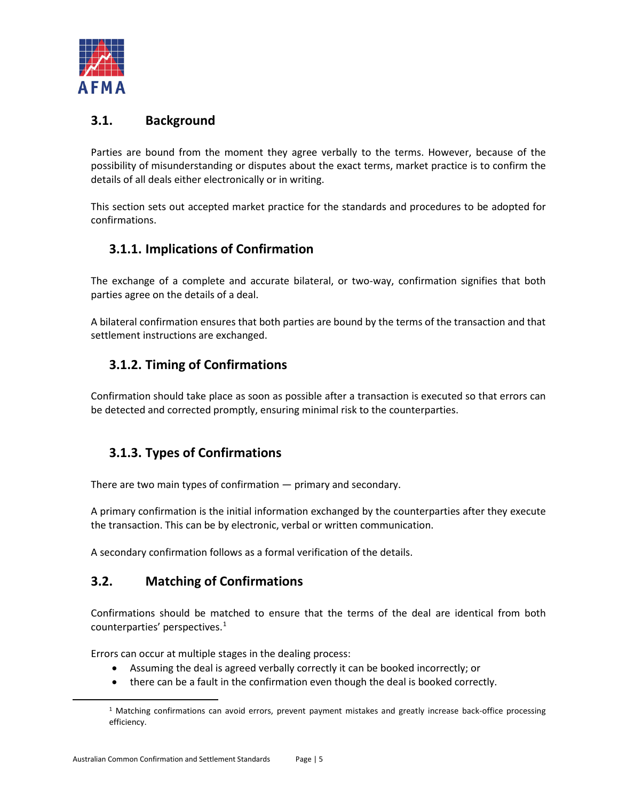

## <span id="page-4-0"></span>**3.1. Background**

Parties are bound from the moment they agree verbally to the terms. However, because of the possibility of misunderstanding or disputes about the exact terms, market practice is to confirm the details of all deals either electronically or in writing.

This section sets out accepted market practice for the standards and procedures to be adopted for confirmations.

### <span id="page-4-1"></span>**3.1.1. Implications of Confirmation**

The exchange of a complete and accurate bilateral, or two-way, confirmation signifies that both parties agree on the details of a deal.

A bilateral confirmation ensures that both parties are bound by the terms of the transaction and that settlement instructions are exchanged.

### <span id="page-4-2"></span>**3.1.2. Timing of Confirmations**

Confirmation should take place as soon as possible after a transaction is executed so that errors can be detected and corrected promptly, ensuring minimal risk to the counterparties.

## <span id="page-4-3"></span>**3.1.3. Types of Confirmations**

There are two main types of confirmation — primary and secondary.

A primary confirmation is the initial information exchanged by the counterparties after they execute the transaction. This can be by electronic, verbal or written communication.

A secondary confirmation follows as a formal verification of the details.

### <span id="page-4-4"></span>**3.2. Matching of Confirmations**

Confirmations should be matched to ensure that the terms of the deal are identical from both counterparties' perspectives.[1](#page-4-5)

Errors can occur at multiple stages in the dealing process:

- Assuming the deal is agreed verbally correctly it can be booked incorrectly; or
- there can be a fault in the confirmation even though the deal is booked correctly.

<span id="page-4-5"></span><sup>1</sup> Matching confirmations can avoid errors, prevent payment mistakes and greatly increase back-office processing efficiency.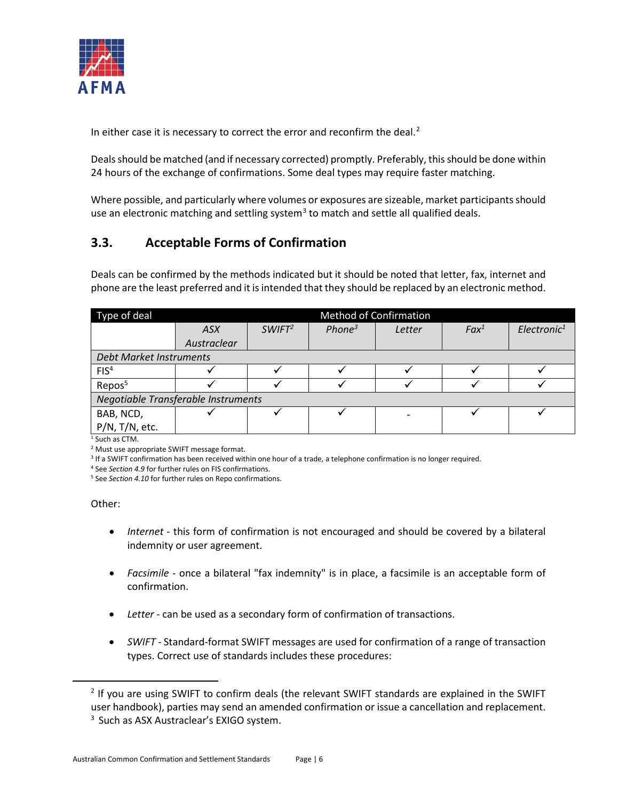

In either case it is necessary to correct the error and reconfirm the deal. $2$ 

Deals should be matched (and if necessary corrected) promptly. Preferably, this should be done within 24 hours of the exchange of confirmations. Some deal types may require faster matching.

Where possible, and particularly where volumes or exposures are sizeable, market participants should use an electronic matching and settling system<sup>[3](#page-5-2)</sup> to match and settle all qualified deals.

## <span id="page-5-0"></span>**3.3. Acceptable Forms of Confirmation**

Deals can be confirmed by the methods indicated but it should be noted that letter, fax, internet and phone are the least preferred and it is intended that they should be replaced by an electronic method.

| Type of deal                        |             | <b>Method of Confirmation</b> |                    |        |         |                         |
|-------------------------------------|-------------|-------------------------------|--------------------|--------|---------|-------------------------|
|                                     | <b>ASX</b>  | SWIFT <sup>2</sup>            | Phone <sup>3</sup> | Letter | $Fax^1$ | Electronic <sup>1</sup> |
|                                     | Austraclear |                               |                    |        |         |                         |
| Debt Market Instruments             |             |                               |                    |        |         |                         |
| FIS <sup>4</sup>                    |             |                               |                    |        |         |                         |
| Repos <sup>5</sup>                  |             |                               |                    |        |         |                         |
| Negotiable Transferable Instruments |             |                               |                    |        |         |                         |
| BAB, NCD,                           |             |                               |                    |        |         |                         |
| P/N, T/N, etc.                      |             |                               |                    |        |         |                         |

 $1$  Such as CTM.

<sup>2</sup> Must use appropriate SWIFT message format.

<sup>3</sup> If a SWIFT confirmation has been received within one hour of a trade, a telephone confirmation is no longer required.

<sup>4</sup> See *Section 4.9* for further rules on FIS confirmations.

<sup>5</sup> See *Section 4.10* for further rules on Repo confirmations.

#### Other:

- *Internet* this form of confirmation is not encouraged and should be covered by a bilateral indemnity or user agreement.
- *Facsimile* once a bilateral "fax indemnity" is in place, a facsimile is an acceptable form of confirmation.
- *Letter* can be used as a secondary form of confirmation of transactions.
- *SWIFT* Standard-format SWIFT messages are used for confirmation of a range of transaction types. Correct use of standards includes these procedures:

<span id="page-5-2"></span><span id="page-5-1"></span><sup>&</sup>lt;sup>2</sup> If you are using SWIFT to confirm deals (the relevant SWIFT standards are explained in the SWIFT user handbook), parties may send an amended confirmation or issue a cancellation and replacement. <sup>3</sup> Such as ASX Austraclear's EXIGO system.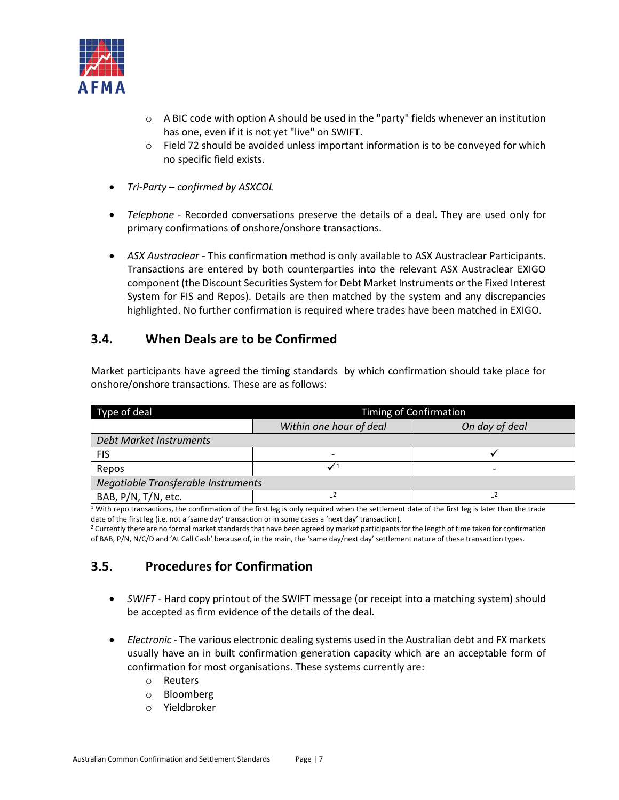

- $\circ$  A BIC code with option A should be used in the "party" fields whenever an institution has one, even if it is not yet "live" on SWIFT.
- $\circ$  Field 72 should be avoided unless important information is to be conveyed for which no specific field exists.
- *Tri-Party – confirmed by ASXCOL*
- *Telephone* Recorded conversations preserve the details of a deal. They are used only for primary confirmations of onshore/onshore transactions.
- *ASX Austraclear* This confirmation method is only available to ASX Austraclear Participants. Transactions are entered by both counterparties into the relevant ASX Austraclear EXIGO component (the Discount Securities System for Debt Market Instruments or the Fixed Interest System for FIS and Repos). Details are then matched by the system and any discrepancies highlighted. No further confirmation is required where trades have been matched in EXIGO.

### <span id="page-6-0"></span>**3.4. When Deals are to be Confirmed**

Market participants have agreed the timing standards by which confirmation should take place for onshore/onshore transactions. These are as follows:

| Type of deal                        | <b>Timing of Confirmation</b> |                |  |  |  |  |
|-------------------------------------|-------------------------------|----------------|--|--|--|--|
|                                     | Within one hour of deal       | On day of deal |  |  |  |  |
| Debt Market Instruments             |                               |                |  |  |  |  |
| <b>FIS</b>                          | $\overline{\phantom{0}}$      |                |  |  |  |  |
| Repos                               |                               |                |  |  |  |  |
| Negotiable Transferable Instruments |                               |                |  |  |  |  |
| BAB, P/N, T/N, etc.                 |                               |                |  |  |  |  |

 $1$  With repo transactions, the confirmation of the first leg is only required when the settlement date of the first leg is later than the trade date of the first leg (i.e. not a 'same day' transaction or in some cases a 'next day' transaction).

<sup>2</sup> Currently there are no formal market standards that have been agreed by market participants for the length of time taken for confirmation of BAB, P/N, N/C/D and 'At Call Cash' because of, in the main, the 'same day/next day' settlement nature of these transaction types.

## <span id="page-6-1"></span>**3.5. Procedures for Confirmation**

- *SWIFT* Hard copy printout of the SWIFT message (or receipt into a matching system) should be accepted as firm evidence of the details of the deal.
- *Electronic* The various electronic dealing systems used in the Australian debt and FX markets usually have an in built confirmation generation capacity which are an acceptable form of confirmation for most organisations. These systems currently are:
	- o Reuters
	- o Bloomberg
	- o Yieldbroker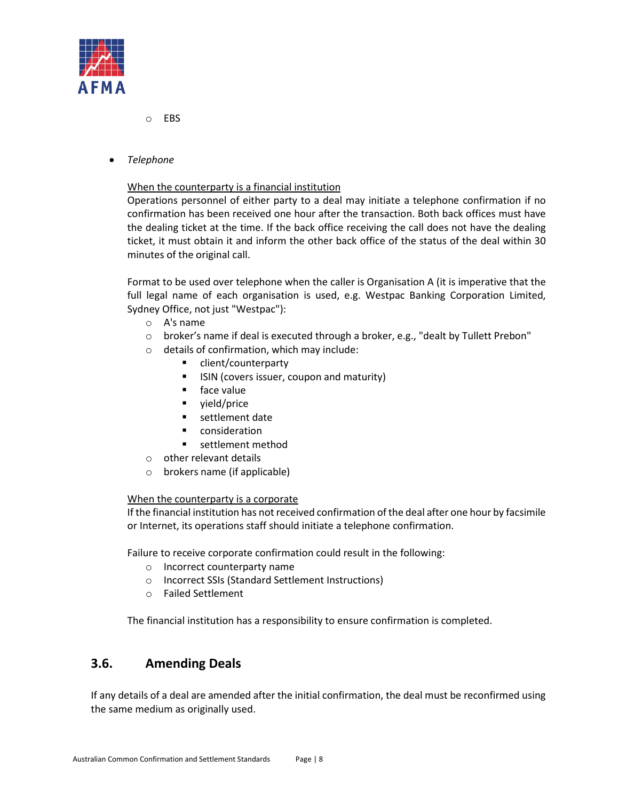

- o EBS
- *Telephone*

#### When the counterparty is a financial institution

Operations personnel of either party to a deal may initiate a telephone confirmation if no confirmation has been received one hour after the transaction. Both back offices must have the dealing ticket at the time. If the back office receiving the call does not have the dealing ticket, it must obtain it and inform the other back office of the status of the deal within 30 minutes of the original call.

Format to be used over telephone when the caller is Organisation A (it is imperative that the full legal name of each organisation is used, e.g. Westpac Banking Corporation Limited, Sydney Office, not just "Westpac"):

- o A's name
- o broker's name if deal is executed through a broker, e.g., "dealt by Tullett Prebon"
- o details of confirmation, which may include:
	- client/counterparty
	- ISIN (covers issuer, coupon and maturity)
	- face value
	- vield/price
	- **settlement date**
	- **E** consideration
	- **settlement method**
- o other relevant details
- o brokers name (if applicable)

#### When the counterparty is a corporate

If the financial institution has not received confirmation of the deal after one hour by facsimile or Internet, its operations staff should initiate a telephone confirmation.

Failure to receive corporate confirmation could result in the following:

- o Incorrect counterparty name
- o Incorrect SSIs (Standard Settlement Instructions)
- o Failed Settlement

The financial institution has a responsibility to ensure confirmation is completed.

### <span id="page-7-0"></span>**3.6. Amending Deals**

If any details of a deal are amended after the initial confirmation, the deal must be reconfirmed using the same medium as originally used.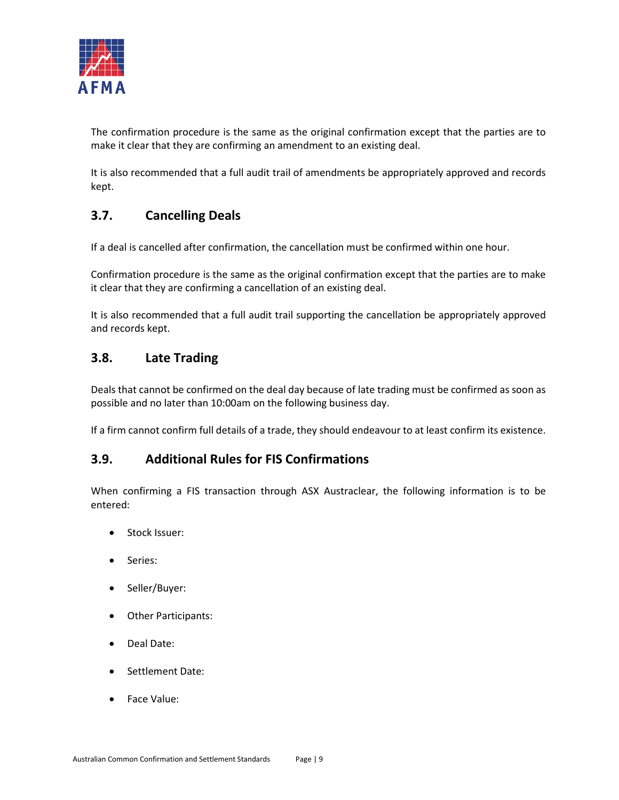

The confirmation procedure is the same as the original confirmation except that the parties are to make it clear that they are confirming an amendment to an existing deal.

It is also recommended that a full audit trail of amendments be appropriately approved and records kept.

# <span id="page-8-0"></span>**3.7. Cancelling Deals**

If a deal is cancelled after confirmation, the cancellation must be confirmed within one hour.

Confirmation procedure is the same as the original confirmation except that the parties are to make it clear that they are confirming a cancellation of an existing deal.

It is also recommended that a full audit trail supporting the cancellation be appropriately approved and records kept.

### <span id="page-8-1"></span>**3.8. Late Trading**

Deals that cannot be confirmed on the deal day because of late trading must be confirmed as soon as possible and no later than 10:00am on the following business day.

If a firm cannot confirm full details of a trade, they should endeavour to at least confirm its existence.

### <span id="page-8-2"></span>**3.9. Additional Rules for FIS Confirmations**

When confirming a FIS transaction through ASX Austraclear, the following information is to be entered:

- Stock Issuer:
- Series:
- Seller/Buyer:
- Other Participants:
- Deal Date:
- Settlement Date:
- Face Value: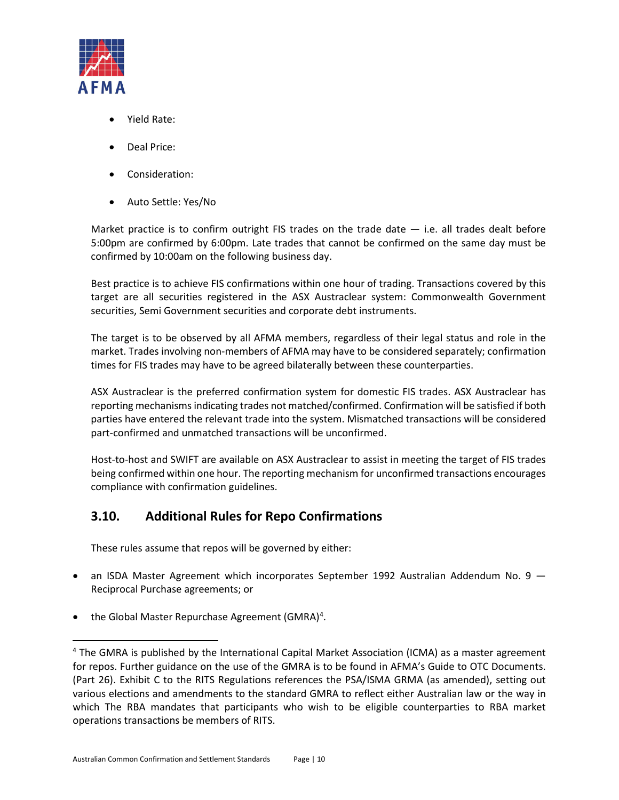

- Yield Rate:
- Deal Price:
- Consideration:
- Auto Settle: Yes/No

Market practice is to confirm outright FIS trades on the trade date  $-$  i.e. all trades dealt before 5:00pm are confirmed by 6:00pm. Late trades that cannot be confirmed on the same day must be confirmed by 10:00am on the following business day.

Best practice is to achieve FIS confirmations within one hour of trading. Transactions covered by this target are all securities registered in the ASX Austraclear system: Commonwealth Government securities, Semi Government securities and corporate debt instruments.

The target is to be observed by all AFMA members, regardless of their legal status and role in the market. Trades involving non-members of AFMA may have to be considered separately; confirmation times for FIS trades may have to be agreed bilaterally between these counterparties.

ASX Austraclear is the preferred confirmation system for domestic FIS trades. ASX Austraclear has reporting mechanisms indicating trades not matched/confirmed. Confirmation will be satisfied if both parties have entered the relevant trade into the system. Mismatched transactions will be considered part-confirmed and unmatched transactions will be unconfirmed.

Host-to-host and SWIFT are available on ASX Austraclear to assist in meeting the target of FIS trades being confirmed within one hour. The reporting mechanism for unconfirmed transactions encourages compliance with confirmation guidelines.

## <span id="page-9-0"></span>**3.10. Additional Rules for Repo Confirmations**

These rules assume that repos will be governed by either:

- an ISDA Master Agreement which incorporates September 1992 Australian Addendum No. 9 Reciprocal Purchase agreements; or
- the Global Master Repurchase Agreement (GMRA)<sup>4</sup>.

<span id="page-9-1"></span><sup>&</sup>lt;sup>4</sup> The GMRA is published by the International Capital Market Association (ICMA) as a master agreement for repos. Further guidance on the use of the GMRA is to be found in AFMA's Guide to OTC Documents. (Part 26). Exhibit C to the RITS Regulations references the PSA/ISMA GRMA (as amended), setting out various elections and amendments to the standard GMRA to reflect either Australian law or the way in which The RBA mandates that participants who wish to be eligible counterparties to RBA market operations transactions be members of RITS.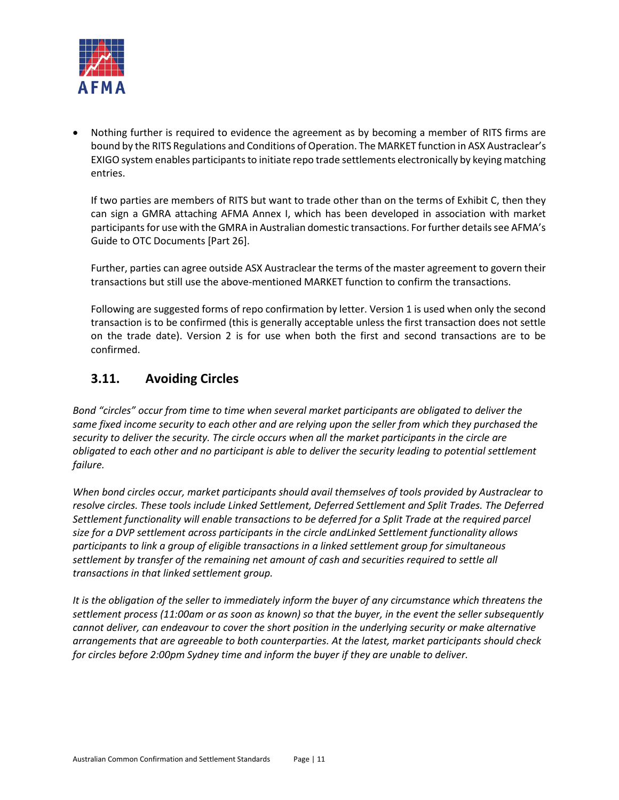

• Nothing further is required to evidence the agreement as by becoming a member of RITS firms are bound by the RITS Regulations and Conditions of Operation. The MARKET function in ASX Austraclear's EXIGO system enables participants to initiate repo trade settlements electronically by keying matching entries.

If two parties are members of RITS but want to trade other than on the terms of Exhibit C, then they can sign a GMRA attaching AFMA Annex I, which has been developed in association with market participants for use with the GMRA in Australian domestic transactions. For further details see AFMA's Guide to OTC Documents [Part 26].

Further, parties can agree outside ASX Austraclear the terms of the master agreement to govern their transactions but still use the above-mentioned MARKET function to confirm the transactions.

Following are suggested forms of repo confirmation by letter. Version 1 is used when only the second transaction is to be confirmed (this is generally acceptable unless the first transaction does not settle on the trade date). Version 2 is for use when both the first and second transactions are to be confirmed.

### <span id="page-10-0"></span>**3.11. Avoiding Circles**

*Bond "circles" occur from time to time when several market participants are obligated to deliver the same fixed income security to each other and are relying upon the seller from which they purchased the security to deliver the security. The circle occurs when all the market participants in the circle are obligated to each other and no participant is able to deliver the security leading to potential settlement failure.*

*When bond circles occur, market participants should avail themselves of tools provided by Austraclear to resolve circles. These tools include Linked Settlement, Deferred Settlement and Split Trades. The Deferred Settlement functionality will enable transactions to be deferred for a Split Trade at the required parcel size for a DVP settlement across participants in the circle andLinked Settlement functionality allows participants to link a group of eligible transactions in a linked settlement group for simultaneous settlement by transfer of the remaining net amount of cash and securities required to settle all transactions in that linked settlement group.*

*It is the obligation of the seller to immediately inform the buyer of any circumstance which threatens the settlement process (11:00am or as soon as known) so that the buyer, in the event the seller subsequently cannot deliver, can endeavour to cover the short position in the underlying security or make alternative arrangements that are agreeable to both counterparties. At the latest, market participants should check for circles before 2:00pm Sydney time and inform the buyer if they are unable to deliver.*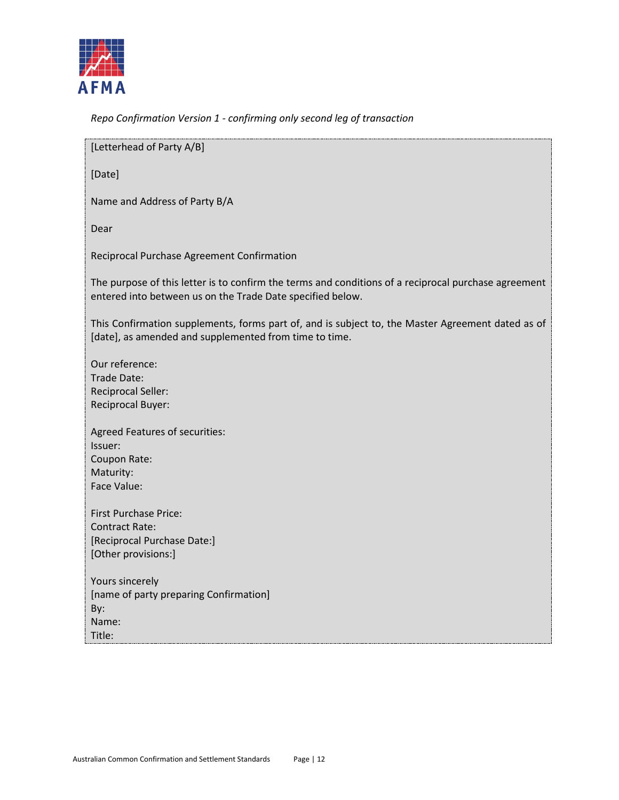

*Repo Confirmation Version 1 - confirming only second leg of transaction*

[Letterhead of Party A/B]

[Date]

Name and Address of Party B/A

Dear

Reciprocal Purchase Agreement Confirmation

The purpose of this letter is to confirm the terms and conditions of a reciprocal purchase agreement entered into between us on the Trade Date specified below.

This Confirmation supplements, forms part of, and is subject to, the Master Agreement dated as of [date], as amended and supplemented from time to time.

Our reference: Trade Date: Reciprocal Seller: Reciprocal Buyer:

Agreed Features of securities: Issuer: Coupon Rate: Maturity: Face Value:

First Purchase Price: Contract Rate: [Reciprocal Purchase Date:] [Other provisions:]

Yours sincerely [name of party preparing Confirmation] By: Name: Title: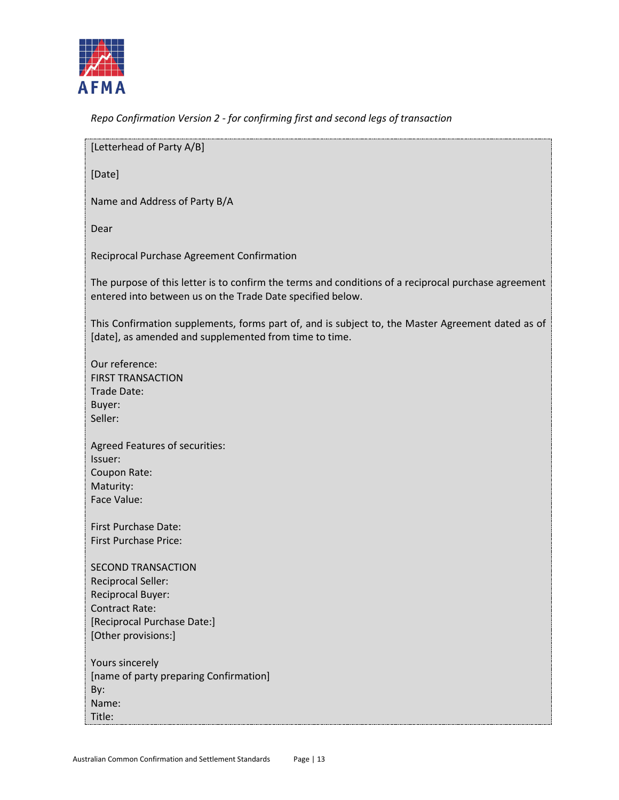

*Repo Confirmation Version 2 - for confirming first and second legs of transaction*

[Letterhead of Party A/B]

[Date]

Name and Address of Party B/A

Dear

Reciprocal Purchase Agreement Confirmation

The purpose of this letter is to confirm the terms and conditions of a reciprocal purchase agreement entered into between us on the Trade Date specified below.

This Confirmation supplements, forms part of, and is subject to, the Master Agreement dated as of [date], as amended and supplemented from time to time.

- Our reference: FIRST TRANSACTION Trade Date: Buyer: Seller:
- Agreed Features of securities: Issuer: Coupon Rate: Maturity: Face Value:

First Purchase Date: First Purchase Price:

SECOND TRANSACTION Reciprocal Seller: Reciprocal Buyer: Contract Rate: [Reciprocal Purchase Date:] [Other provisions:]

Yours sincerely [name of party preparing Confirmation] By: Name: Title: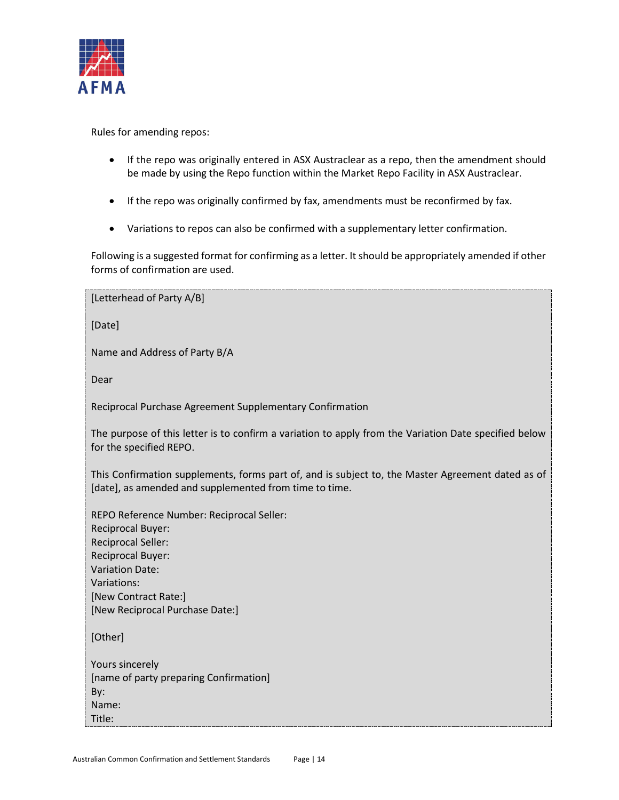

Rules for amending repos:

- If the repo was originally entered in ASX Austraclear as a repo, then the amendment should be made by using the Repo function within the Market Repo Facility in ASX Austraclear.
- If the repo was originally confirmed by fax, amendments must be reconfirmed by fax.
- Variations to repos can also be confirmed with a supplementary letter confirmation.

Following is a suggested format for confirming as a letter. It should be appropriately amended if other forms of confirmation are used.

[Letterhead of Party A/B]

[Date]

Name and Address of Party B/A

Dear

Reciprocal Purchase Agreement Supplementary Confirmation

The purpose of this letter is to confirm a variation to apply from the Variation Date specified below for the specified REPO.

This Confirmation supplements, forms part of, and is subject to, the Master Agreement dated as of [date], as amended and supplemented from time to time.

REPO Reference Number: Reciprocal Seller: Reciprocal Buyer: Reciprocal Seller: Reciprocal Buyer: Variation Date: Variations: [New Contract Rate:] [New Reciprocal Purchase Date:]

[Other]

Yours sincerely [name of party preparing Confirmation] By: Name: Title: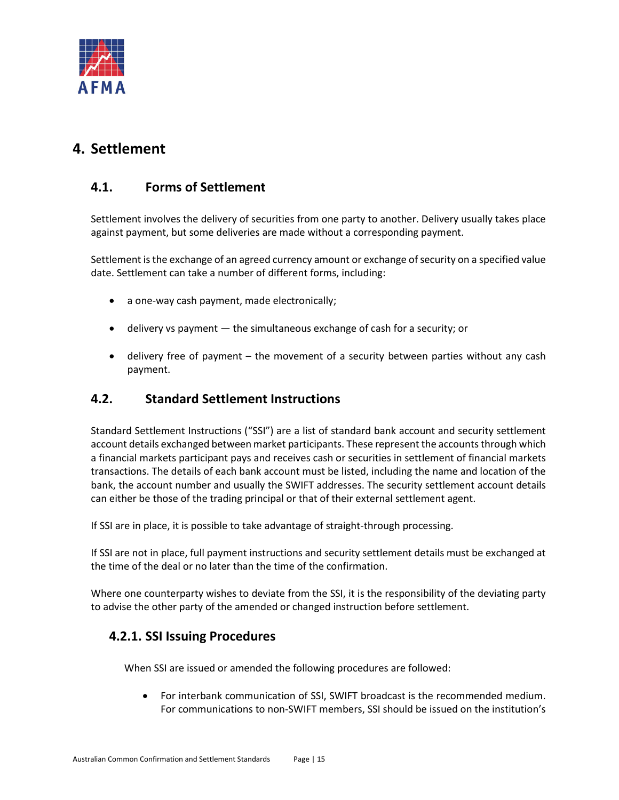

# <span id="page-14-0"></span>**4. Settlement**

## <span id="page-14-1"></span>**4.1. Forms of Settlement**

Settlement involves the delivery of securities from one party to another. Delivery usually takes place against payment, but some deliveries are made without a corresponding payment.

Settlement is the exchange of an agreed currency amount or exchange of security on a specified value date. Settlement can take a number of different forms, including:

- a one-way cash payment, made electronically;
- delivery vs payment the simultaneous exchange of cash for a security; or
- delivery free of payment the movement of a security between parties without any cash payment.

### <span id="page-14-2"></span>**4.2. Standard Settlement Instructions**

Standard Settlement Instructions ("SSI") are a list of standard bank account and security settlement account details exchanged between market participants. These represent the accounts through which a financial markets participant pays and receives cash or securities in settlement of financial markets transactions. The details of each bank account must be listed, including the name and location of the bank, the account number and usually the SWIFT addresses. The security settlement account details can either be those of the trading principal or that of their external settlement agent.

If SSI are in place, it is possible to take advantage of straight-through processing.

If SSI are not in place, full payment instructions and security settlement details must be exchanged at the time of the deal or no later than the time of the confirmation.

Where one counterparty wishes to deviate from the SSI, it is the responsibility of the deviating party to advise the other party of the amended or changed instruction before settlement.

### <span id="page-14-3"></span>**4.2.1. SSI Issuing Procedures**

When SSI are issued or amended the following procedures are followed:

• For interbank communication of SSI, SWIFT broadcast is the recommended medium. For communications to non-SWIFT members, SSI should be issued on the institution's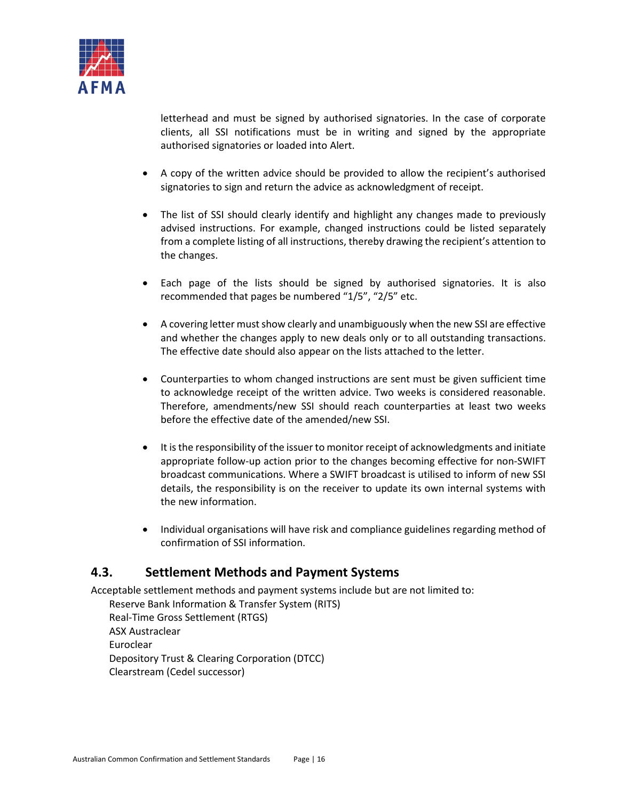

letterhead and must be signed by authorised signatories. In the case of corporate clients, all SSI notifications must be in writing and signed by the appropriate authorised signatories or loaded into Alert.

- A copy of the written advice should be provided to allow the recipient's authorised signatories to sign and return the advice as acknowledgment of receipt.
- The list of SSI should clearly identify and highlight any changes made to previously advised instructions. For example, changed instructions could be listed separately from a complete listing of all instructions, thereby drawing the recipient's attention to the changes.
- Each page of the lists should be signed by authorised signatories. It is also recommended that pages be numbered "1/5", "2/5" etc.
- A covering letter must show clearly and unambiguously when the new SSI are effective and whether the changes apply to new deals only or to all outstanding transactions. The effective date should also appear on the lists attached to the letter.
- Counterparties to whom changed instructions are sent must be given sufficient time to acknowledge receipt of the written advice. Two weeks is considered reasonable. Therefore, amendments/new SSI should reach counterparties at least two weeks before the effective date of the amended/new SSI.
- It is the responsibility of the issuer to monitor receipt of acknowledgments and initiate appropriate follow-up action prior to the changes becoming effective for non-SWIFT broadcast communications. Where a SWIFT broadcast is utilised to inform of new SSI details, the responsibility is on the receiver to update its own internal systems with the new information.
- Individual organisations will have risk and compliance guidelines regarding method of confirmation of SSI information.

### <span id="page-15-0"></span>**4.3. Settlement Methods and Payment Systems**

Acceptable settlement methods and payment systems include but are not limited to: Reserve Bank Information & Transfer System (RITS) Real-Time Gross Settlement (RTGS) ASX Austraclear Euroclear Depository Trust & Clearing Corporation (DTCC) Clearstream (Cedel successor)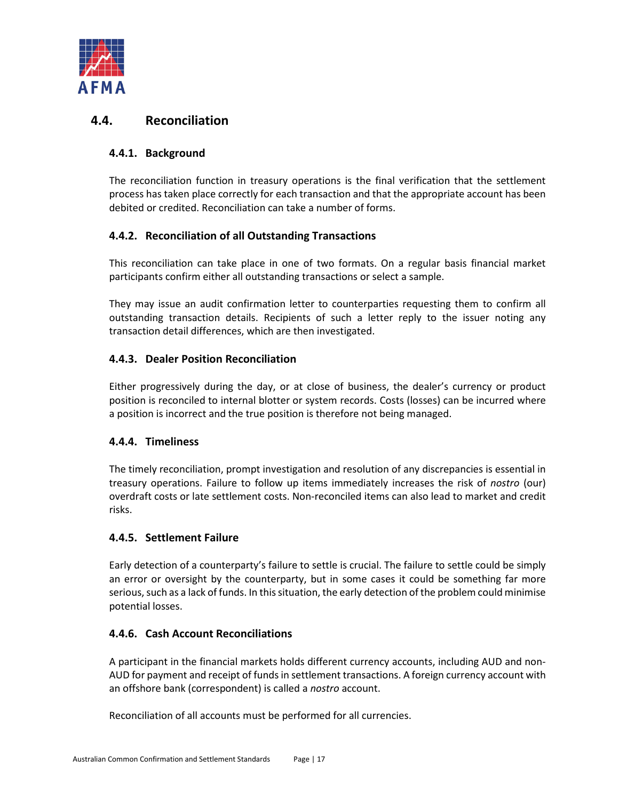

### <span id="page-16-1"></span><span id="page-16-0"></span>**4.4. Reconciliation**

### **4.4.1. Background**

The reconciliation function in treasury operations is the final verification that the settlement process has taken place correctly for each transaction and that the appropriate account has been debited or credited. Reconciliation can take a number of forms.

### <span id="page-16-2"></span>**4.4.2. Reconciliation of all Outstanding Transactions**

This reconciliation can take place in one of two formats. On a regular basis financial market participants confirm either all outstanding transactions or select a sample.

They may issue an audit confirmation letter to counterparties requesting them to confirm all outstanding transaction details. Recipients of such a letter reply to the issuer noting any transaction detail differences, which are then investigated.

### <span id="page-16-3"></span>**4.4.3. Dealer Position Reconciliation**

Either progressively during the day, or at close of business, the dealer's currency or product position is reconciled to internal blotter or system records. Costs (losses) can be incurred where a position is incorrect and the true position is therefore not being managed.

### <span id="page-16-4"></span>**4.4.4. Timeliness**

The timely reconciliation, prompt investigation and resolution of any discrepancies is essential in treasury operations. Failure to follow up items immediately increases the risk of *nostro* (our) overdraft costs or late settlement costs. Non-reconciled items can also lead to market and credit risks.

### <span id="page-16-5"></span>**4.4.5. Settlement Failure**

Early detection of a counterparty's failure to settle is crucial. The failure to settle could be simply an error or oversight by the counterparty, but in some cases it could be something far more serious, such as a lack of funds. In this situation, the early detection of the problem could minimise potential losses.

### <span id="page-16-6"></span>**4.4.6. Cash Account Reconciliations**

A participant in the financial markets holds different currency accounts, including AUD and non-AUD for payment and receipt of funds in settlement transactions. A foreign currency account with an offshore bank (correspondent) is called a *nostro* account.

Reconciliation of all accounts must be performed for all currencies.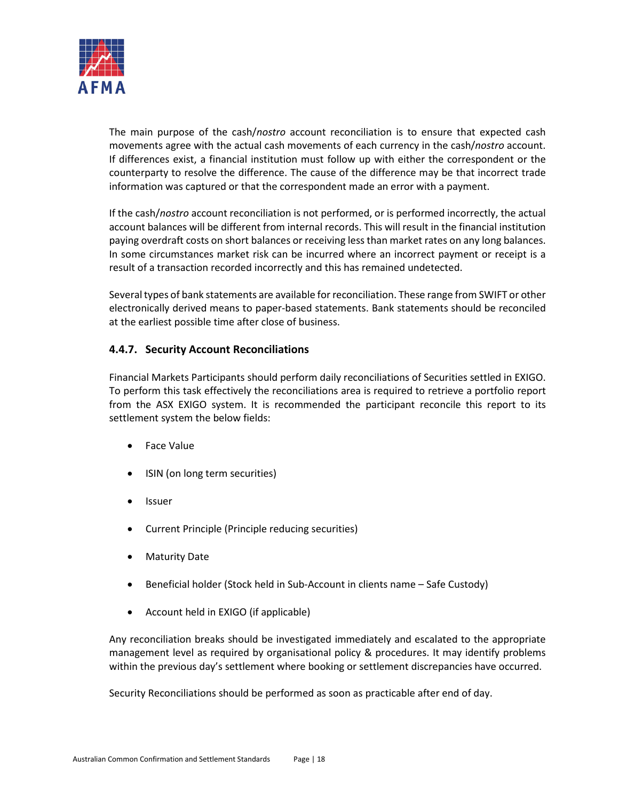

The main purpose of the cash/*nostro* account reconciliation is to ensure that expected cash movements agree with the actual cash movements of each currency in the cash/*nostro* account. If differences exist, a financial institution must follow up with either the correspondent or the counterparty to resolve the difference. The cause of the difference may be that incorrect trade information was captured or that the correspondent made an error with a payment.

If the cash/*nostro* account reconciliation is not performed, or is performed incorrectly, the actual account balances will be different from internal records. This will result in the financial institution paying overdraft costs on short balances or receiving less than market rates on any long balances. In some circumstances market risk can be incurred where an incorrect payment or receipt is a result of a transaction recorded incorrectly and this has remained undetected.

Several types of bank statements are available for reconciliation. These range from SWIFT or other electronically derived means to paper-based statements. Bank statements should be reconciled at the earliest possible time after close of business.

### <span id="page-17-0"></span>**4.4.7. Security Account Reconciliations**

Financial Markets Participants should perform daily reconciliations of Securities settled in EXIGO. To perform this task effectively the reconciliations area is required to retrieve a portfolio report from the ASX EXIGO system. It is recommended the participant reconcile this report to its settlement system the below fields:

- Face Value
- ISIN (on long term securities)
- **Issuer**
- Current Principle (Principle reducing securities)
- Maturity Date
- Beneficial holder (Stock held in Sub-Account in clients name Safe Custody)
- Account held in EXIGO (if applicable)

Any reconciliation breaks should be investigated immediately and escalated to the appropriate management level as required by organisational policy & procedures. It may identify problems within the previous day's settlement where booking or settlement discrepancies have occurred.

Security Reconciliations should be performed as soon as practicable after end of day.